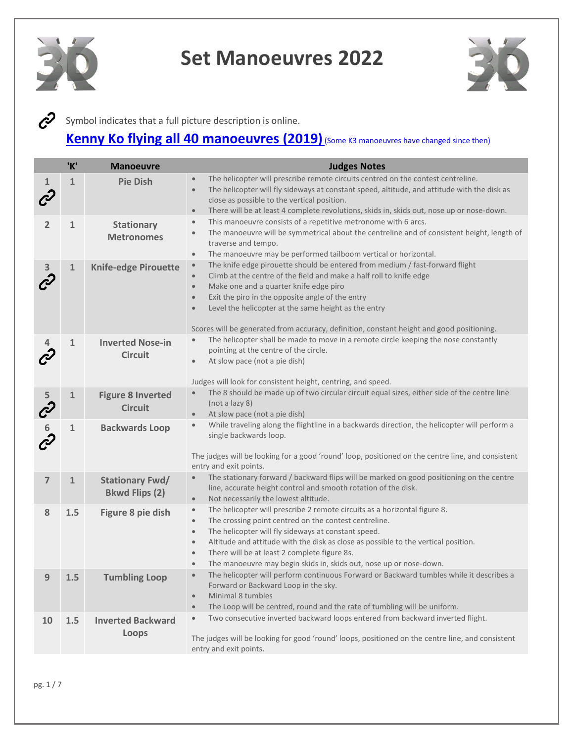



Symbol indicates that a full picture description is online.

#### **[Kenny Ko flying all 40 manoeuvres](https://www.youtube.com/watch?v=V4gRKvDJPEg&feature=youtu.be&fbclid=IwAR0Hbn-faj6op88yIxQ3knHIi9zrrzrYv_lrtBwjptUcPGFPiPrCWGO8SCs) (2019)** (Some K3 manoeuvres have changed since then)

|                                   | 'K'          | <b>Manoeuvre</b>                                | <b>Judges Notes</b>                                                                                                                                                                                                                                                                                                                                                                                                                                                                 |
|-----------------------------------|--------------|-------------------------------------------------|-------------------------------------------------------------------------------------------------------------------------------------------------------------------------------------------------------------------------------------------------------------------------------------------------------------------------------------------------------------------------------------------------------------------------------------------------------------------------------------|
| 1<br>$\mathcal{C}^{\!\mathbf{2}}$ | $\mathbf{1}$ | <b>Pie Dish</b>                                 | The helicopter will prescribe remote circuits centred on the contest centreline.<br>$\bullet$<br>The helicopter will fly sideways at constant speed, altitude, and attitude with the disk as<br>$\bullet$<br>close as possible to the vertical position.<br>There will be at least 4 complete revolutions, skids in, skids out, nose up or nose-down.<br>$\bullet$                                                                                                                  |
| $\overline{2}$                    | 1            | <b>Stationary</b><br><b>Metronomes</b>          | This manoeuvre consists of a repetitive metronome with 6 arcs.<br>$\bullet$<br>The manoeuvre will be symmetrical about the centreline and of consistent height, length of<br>traverse and tempo.<br>The manoeuvre may be performed tailboom vertical or horizontal.<br>$\bullet$                                                                                                                                                                                                    |
|                                   | $\mathbf{1}$ | <b>Knife-edge Pirouette</b>                     | The knife edge pirouette should be entered from medium / fast-forward flight<br>$\bullet$<br>Climb at the centre of the field and make a half roll to knife edge<br>$\bullet$<br>Make one and a quarter knife edge piro<br>$\bullet$<br>Exit the piro in the opposite angle of the entry<br>$\bullet$<br>Level the helicopter at the same height as the entry<br>$\bullet$<br>Scores will be generated from accuracy, definition, constant height and good positioning.             |
|                                   | 1            | <b>Inverted Nose-in</b><br><b>Circuit</b>       | The helicopter shall be made to move in a remote circle keeping the nose constantly<br>pointing at the centre of the circle.<br>At slow pace (not a pie dish)<br>$\bullet$<br>Judges will look for consistent height, centring, and speed.                                                                                                                                                                                                                                          |
| 5                                 | $\mathbf{1}$ | <b>Figure 8 Inverted</b><br><b>Circuit</b>      | The 8 should be made up of two circular circuit equal sizes, either side of the centre line<br>$\bullet$<br>(not a lazy 8)<br>At slow pace (not a pie dish)<br>$\bullet$                                                                                                                                                                                                                                                                                                            |
| CO O                              | 1            | <b>Backwards Loop</b>                           | While traveling along the flightline in a backwards direction, the helicopter will perform a<br>$\bullet$<br>single backwards loop.<br>The judges will be looking for a good 'round' loop, positioned on the centre line, and consistent<br>entry and exit points.                                                                                                                                                                                                                  |
| $\overline{7}$                    | $\mathbf{1}$ | <b>Stationary Fwd/</b><br><b>Bkwd Flips (2)</b> | The stationary forward / backward flips will be marked on good positioning on the centre<br>$\bullet$<br>line, accurate height control and smooth rotation of the disk.<br>Not necessarily the lowest altitude.<br>$\bullet$                                                                                                                                                                                                                                                        |
| 8                                 | 1.5          | Figure 8 pie dish                               | The helicopter will prescribe 2 remote circuits as a horizontal figure 8.<br>$\bullet$<br>The crossing point centred on the contest centreline.<br>$\bullet$<br>The helicopter will fly sideways at constant speed.<br>$\bullet$<br>Altitude and attitude with the disk as close as possible to the vertical position.<br>$\bullet$<br>There will be at least 2 complete figure 8s.<br>$\bullet$<br>The manoeuvre may begin skids in, skids out, nose up or nose-down.<br>$\bullet$ |
| 9                                 | 1.5          | <b>Tumbling Loop</b>                            | The helicopter will perform continuous Forward or Backward tumbles while it describes a<br>$\bullet$<br>Forward or Backward Loop in the sky.<br>Minimal 8 tumbles<br>$\bullet$<br>The Loop will be centred, round and the rate of tumbling will be uniform.<br>$\bullet$                                                                                                                                                                                                            |
| 10                                | 1.5          | <b>Inverted Backward</b><br>Loops               | Two consecutive inverted backward loops entered from backward inverted flight.<br>$\bullet$<br>The judges will be looking for good 'round' loops, positioned on the centre line, and consistent<br>entry and exit points.                                                                                                                                                                                                                                                           |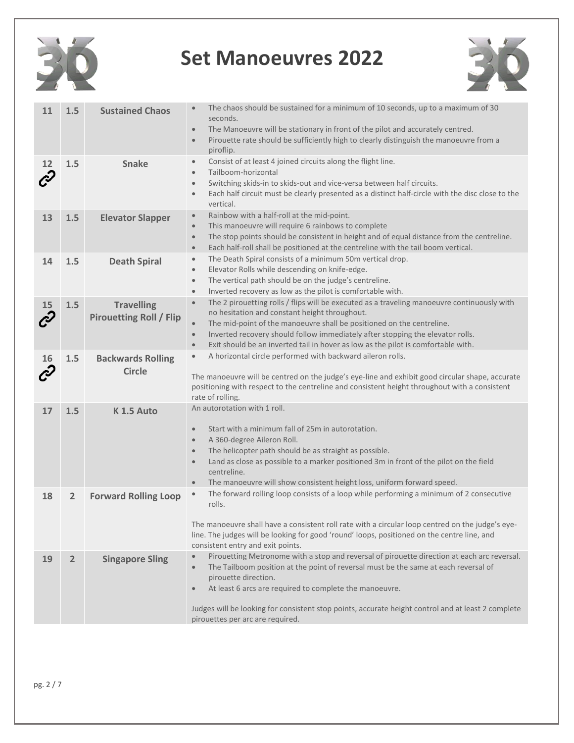



| 11                           | 1.5            | <b>Sustained Chaos</b>                              | The chaos should be sustained for a minimum of 10 seconds, up to a maximum of 30<br>$\bullet$<br>seconds.<br>The Manoeuvre will be stationary in front of the pilot and accurately centred.<br>$\bullet$<br>Pirouette rate should be sufficiently high to clearly distinguish the manoeuvre from a<br>$\bullet$<br>piroflip.                                                                                                                           |
|------------------------------|----------------|-----------------------------------------------------|--------------------------------------------------------------------------------------------------------------------------------------------------------------------------------------------------------------------------------------------------------------------------------------------------------------------------------------------------------------------------------------------------------------------------------------------------------|
| 12                           | 1.5            | <b>Snake</b>                                        | Consist of at least 4 joined circuits along the flight line.<br>$\bullet$<br>Tailboom-horizontal<br>$\bullet$<br>Switching skids-in to skids-out and vice-versa between half circuits.<br>$\bullet$<br>Each half circuit must be clearly presented as a distinct half-circle with the disc close to the<br>$\bullet$<br>vertical.                                                                                                                      |
| 13                           | 1.5            | <b>Elevator Slapper</b>                             | Rainbow with a half-roll at the mid-point.<br>$\bullet$<br>This manoeuvre will require 6 rainbows to complete<br>$\bullet$<br>The stop points should be consistent in height and of equal distance from the centreline.<br>$\bullet$<br>Each half-roll shall be positioned at the centreline with the tail boom vertical.<br>$\bullet$                                                                                                                 |
| 14                           | 1.5            | <b>Death Spiral</b>                                 | The Death Spiral consists of a minimum 50m vertical drop.<br>$\bullet$<br>Elevator Rolls while descending on knife-edge.<br>$\bullet$<br>The vertical path should be on the judge's centreline.<br>$\bullet$<br>Inverted recovery as low as the pilot is comfortable with.<br>$\bullet$                                                                                                                                                                |
| 15<br>$\mathcal{C}^{\prime}$ | 1.5            | <b>Travelling</b><br><b>Pirouetting Roll / Flip</b> | The 2 pirouetting rolls / flips will be executed as a traveling manoeuvre continuously with<br>$\bullet$<br>no hesitation and constant height throughout.<br>The mid-point of the manoeuvre shall be positioned on the centreline.<br>$\bullet$<br>Inverted recovery should follow immediately after stopping the elevator rolls.<br>$\bullet$<br>Exit should be an inverted tail in hover as low as the pilot is comfortable with.<br>$\bullet$       |
| 16                           | 1.5            | <b>Backwards Rolling</b><br>Circle                  | A horizontal circle performed with backward aileron rolls.<br>$\bullet$<br>The manoeuvre will be centred on the judge's eye-line and exhibit good circular shape, accurate<br>positioning with respect to the centreline and consistent height throughout with a consistent<br>rate of rolling.                                                                                                                                                        |
| 17                           | 1.5            | K 1.5 Auto                                          | An autorotation with 1 roll.<br>Start with a minimum fall of 25m in autorotation.<br>$\bullet$<br>A 360-degree Aileron Roll.<br>$\bullet$<br>The helicopter path should be as straight as possible.<br>$\bullet$<br>Land as close as possible to a marker positioned 3m in front of the pilot on the field<br>$\bullet$<br>centreline.<br>The manoeuvre will show consistent height loss, uniform forward speed.<br>$\bullet$                          |
| 18                           | $\overline{2}$ | <b>Forward Rolling Loop</b>                         | The forward rolling loop consists of a loop while performing a minimum of 2 consecutive<br>$\bullet$<br>rolls.<br>The manoeuvre shall have a consistent roll rate with a circular loop centred on the judge's eye-<br>line. The judges will be looking for good 'round' loops, positioned on the centre line, and<br>consistent entry and exit points.                                                                                                 |
| 19                           | $\overline{2}$ | <b>Singapore Sling</b>                              | Pirouetting Metronome with a stop and reversal of pirouette direction at each arc reversal.<br>$\bullet$<br>The Tailboom position at the point of reversal must be the same at each reversal of<br>$\bullet$<br>pirouette direction.<br>At least 6 arcs are required to complete the manoeuvre.<br>$\bullet$<br>Judges will be looking for consistent stop points, accurate height control and at least 2 complete<br>pirouettes per arc are required. |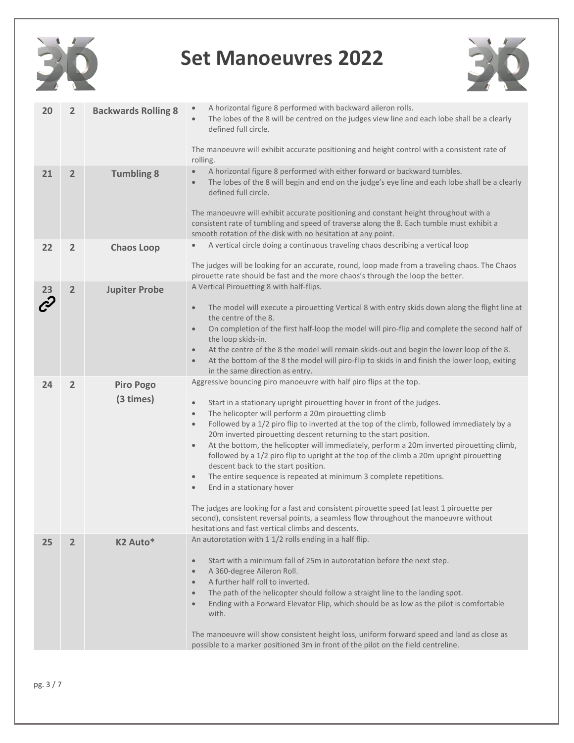



| 20            | $\overline{2}$ | <b>Backwards Rolling 8</b>    | A horizontal figure 8 performed with backward aileron rolls.<br>The lobes of the 8 will be centred on the judges view line and each lobe shall be a clearly<br>defined full circle.<br>The manoeuvre will exhibit accurate positioning and height control with a consistent rate of<br>rolling.                                                                                                                                                                                                                                                                                                                                                                                                                                                                                                                                                                                                                                                                                                                                        |
|---------------|----------------|-------------------------------|----------------------------------------------------------------------------------------------------------------------------------------------------------------------------------------------------------------------------------------------------------------------------------------------------------------------------------------------------------------------------------------------------------------------------------------------------------------------------------------------------------------------------------------------------------------------------------------------------------------------------------------------------------------------------------------------------------------------------------------------------------------------------------------------------------------------------------------------------------------------------------------------------------------------------------------------------------------------------------------------------------------------------------------|
| 21            | $\overline{2}$ | <b>Tumbling 8</b>             | A horizontal figure 8 performed with either forward or backward tumbles.<br>$\bullet$<br>The lobes of the 8 will begin and end on the judge's eye line and each lobe shall be a clearly<br>$\bullet$<br>defined full circle.<br>The manoeuvre will exhibit accurate positioning and constant height throughout with a<br>consistent rate of tumbling and speed of traverse along the 8. Each tumble must exhibit a<br>smooth rotation of the disk with no hesitation at any point.                                                                                                                                                                                                                                                                                                                                                                                                                                                                                                                                                     |
| 22            | $\overline{2}$ | <b>Chaos Loop</b>             | A vertical circle doing a continuous traveling chaos describing a vertical loop<br>The judges will be looking for an accurate, round, loop made from a traveling chaos. The Chaos<br>pirouette rate should be fast and the more chaos's through the loop the better.                                                                                                                                                                                                                                                                                                                                                                                                                                                                                                                                                                                                                                                                                                                                                                   |
| $\mathcal{C}$ | 2              | <b>Jupiter Probe</b>          | A Vertical Pirouetting 8 with half-flips.<br>The model will execute a pirouetting Vertical 8 with entry skids down along the flight line at<br>$\bullet$<br>the centre of the 8.<br>On completion of the first half-loop the model will piro-flip and complete the second half of<br>$\bullet$<br>the loop skids-in.<br>At the centre of the 8 the model will remain skids-out and begin the lower loop of the 8.<br>$\bullet$<br>At the bottom of the 8 the model will piro-flip to skids in and finish the lower loop, exiting<br>$\bullet$<br>in the same direction as entry.                                                                                                                                                                                                                                                                                                                                                                                                                                                       |
| 24            | $\overline{2}$ | <b>Piro Pogo</b><br>(3 times) | Aggressive bouncing piro manoeuvre with half piro flips at the top.<br>Start in a stationary upright pirouetting hover in front of the judges.<br>$\bullet$<br>The helicopter will perform a 20m pirouetting climb<br>$\bullet$<br>Followed by a 1/2 piro flip to inverted at the top of the climb, followed immediately by a<br>$\bullet$<br>20m inverted pirouetting descent returning to the start position.<br>At the bottom, the helicopter will immediately, perform a 20m inverted pirouetting climb,<br>$\bullet$<br>followed by a 1/2 piro flip to upright at the top of the climb a 20m upright pirouetting<br>descent back to the start position.<br>The entire sequence is repeated at minimum 3 complete repetitions.<br>$\bullet$<br>End in a stationary hover<br>$\bullet$<br>The judges are looking for a fast and consistent pirouette speed (at least 1 pirouette per<br>second), consistent reversal points, a seamless flow throughout the manoeuvre without<br>hesitations and fast vertical climbs and descents. |
| 25            | $\overline{2}$ | K <sub>2</sub> Auto*          | An autorotation with 1 1/2 rolls ending in a half flip.<br>Start with a minimum fall of 25m in autorotation before the next step.<br>$\bullet$<br>A 360-degree Aileron Roll.<br>$\bullet$<br>A further half roll to inverted.<br>$\bullet$<br>The path of the helicopter should follow a straight line to the landing spot.<br>$\bullet$<br>Ending with a Forward Elevator Flip, which should be as low as the pilot is comfortable<br>$\bullet$<br>with.<br>The manoeuvre will show consistent height loss, uniform forward speed and land as close as<br>possible to a marker positioned 3m in front of the pilot on the field centreline.                                                                                                                                                                                                                                                                                                                                                                                           |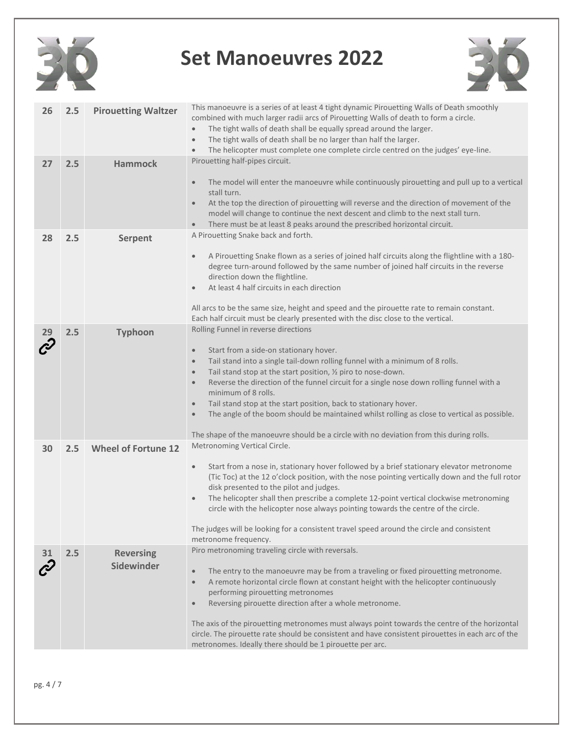



| 26 | 2.5 | <b>Pirouetting Waltzer</b>     | This manoeuvre is a series of at least 4 tight dynamic Pirouetting Walls of Death smoothly<br>combined with much larger radii arcs of Pirouetting Walls of death to form a circle.<br>The tight walls of death shall be equally spread around the larger.<br>$\bullet$<br>The tight walls of death shall be no larger than half the larger.<br>$\bullet$<br>The helicopter must complete one complete circle centred on the judges' eye-line.<br>$\bullet$                                                                                                                                                                                                                                     |
|----|-----|--------------------------------|------------------------------------------------------------------------------------------------------------------------------------------------------------------------------------------------------------------------------------------------------------------------------------------------------------------------------------------------------------------------------------------------------------------------------------------------------------------------------------------------------------------------------------------------------------------------------------------------------------------------------------------------------------------------------------------------|
| 27 | 2.5 | <b>Hammock</b>                 | Pirouetting half-pipes circuit.<br>The model will enter the manoeuvre while continuously pirouetting and pull up to a vertical<br>$\bullet$<br>stall turn.<br>At the top the direction of pirouetting will reverse and the direction of movement of the<br>$\bullet$<br>model will change to continue the next descent and climb to the next stall turn.<br>There must be at least 8 peaks around the prescribed horizontal circuit.<br>$\bullet$                                                                                                                                                                                                                                              |
| 28 | 2.5 | <b>Serpent</b>                 | A Pirouetting Snake back and forth.<br>A Pirouetting Snake flown as a series of joined half circuits along the flightline with a 180-<br>$\bullet$<br>degree turn-around followed by the same number of joined half circuits in the reverse<br>direction down the flightline.<br>At least 4 half circuits in each direction<br>$\bullet$<br>All arcs to be the same size, height and speed and the pirouette rate to remain constant.<br>Each half circuit must be clearly presented with the disc close to the vertical.                                                                                                                                                                      |
|    | 2.5 | <b>Typhoon</b>                 | Rolling Funnel in reverse directions<br>Start from a side-on stationary hover.<br>$\bullet$<br>Tail stand into a single tail-down rolling funnel with a minimum of 8 rolls.<br>$\bullet$<br>Tail stand stop at the start position, 1/2 piro to nose-down.<br>$\bullet$<br>Reverse the direction of the funnel circuit for a single nose down rolling funnel with a<br>$\bullet$<br>minimum of 8 rolls.<br>Tail stand stop at the start position, back to stationary hover.<br>$\bullet$<br>The angle of the boom should be maintained whilst rolling as close to vertical as possible.<br>$\bullet$<br>The shape of the manoeuvre should be a circle with no deviation from this during rolls. |
| 30 | 2.5 | <b>Wheel of Fortune 12</b>     | Metronoming Vertical Circle.<br>Start from a nose in, stationary hover followed by a brief stationary elevator metronome<br>$\bullet$<br>(Tic Toc) at the 12 o'clock position, with the nose pointing vertically down and the full rotor<br>disk presented to the pilot and judges.<br>The helicopter shall then prescribe a complete 12-point vertical clockwise metronoming<br>$\bullet$<br>circle with the helicopter nose always pointing towards the centre of the circle.<br>The judges will be looking for a consistent travel speed around the circle and consistent<br>metronome frequency.                                                                                           |
|    | 2.5 | <b>Reversing</b><br>Sidewinder | Piro metronoming traveling circle with reversals.<br>The entry to the manoeuvre may be from a traveling or fixed pirouetting metronome.<br>$\bullet$<br>A remote horizontal circle flown at constant height with the helicopter continuously<br>$\bullet$<br>performing pirouetting metronomes<br>Reversing pirouette direction after a whole metronome.<br>$\bullet$<br>The axis of the pirouetting metronomes must always point towards the centre of the horizontal<br>circle. The pirouette rate should be consistent and have consistent pirouettes in each arc of the<br>metronomes. Ideally there should be 1 pirouette per arc.                                                        |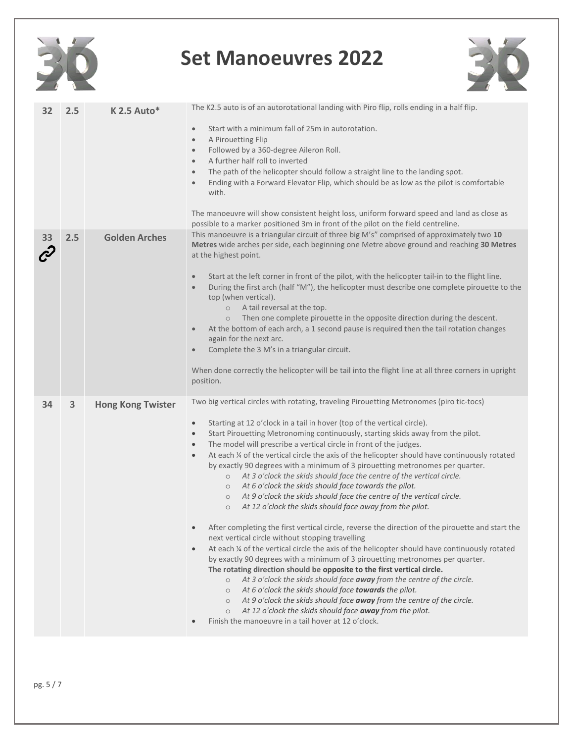



| 32 | 2.5 | $K$ 2.5 Auto*            | The K2.5 auto is of an autorotational landing with Piro flip, rolls ending in a half flip.<br>Start with a minimum fall of 25m in autorotation.<br>$\bullet$<br>A Pirouetting Flip<br>$\bullet$<br>Followed by a 360-degree Aileron Roll.<br>$\bullet$<br>A further half roll to inverted<br>$\bullet$<br>The path of the helicopter should follow a straight line to the landing spot.<br>$\bullet$<br>Ending with a Forward Elevator Flip, which should be as low as the pilot is comfortable<br>$\bullet$<br>with.<br>The manoeuvre will show consistent height loss, uniform forward speed and land as close as<br>possible to a marker positioned 3m in front of the pilot on the field centreline.                                                                                                                                                                                                                                                                                                                                                                                                                                                                                                                                                                                                                                                                                                                                                                                                                                                                                                                                                                                                          |
|----|-----|--------------------------|-------------------------------------------------------------------------------------------------------------------------------------------------------------------------------------------------------------------------------------------------------------------------------------------------------------------------------------------------------------------------------------------------------------------------------------------------------------------------------------------------------------------------------------------------------------------------------------------------------------------------------------------------------------------------------------------------------------------------------------------------------------------------------------------------------------------------------------------------------------------------------------------------------------------------------------------------------------------------------------------------------------------------------------------------------------------------------------------------------------------------------------------------------------------------------------------------------------------------------------------------------------------------------------------------------------------------------------------------------------------------------------------------------------------------------------------------------------------------------------------------------------------------------------------------------------------------------------------------------------------------------------------------------------------------------------------------------------------|
| 33 | 2.5 | <b>Golden Arches</b>     | This manoeuvre is a triangular circuit of three big M's" comprised of approximately two 10<br>Metres wide arches per side, each beginning one Metre above ground and reaching 30 Metres<br>at the highest point.<br>Start at the left corner in front of the pilot, with the helicopter tail-in to the flight line.<br>$\bullet$<br>During the first arch (half "M"), the helicopter must describe one complete pirouette to the<br>$\bullet$<br>top (when vertical).<br>A tail reversal at the top.<br>$\circ$<br>Then one complete pirouette in the opposite direction during the descent.<br>$\circ$<br>At the bottom of each arch, a 1 second pause is required then the tail rotation changes<br>$\bullet$<br>again for the next arc.<br>Complete the 3 M's in a triangular circuit.<br>$\bullet$<br>When done correctly the helicopter will be tail into the flight line at all three corners in upright<br>position.                                                                                                                                                                                                                                                                                                                                                                                                                                                                                                                                                                                                                                                                                                                                                                                       |
| 34 | 3   | <b>Hong Kong Twister</b> | Two big vertical circles with rotating, traveling Pirouetting Metronomes (piro tic-tocs)<br>Starting at 12 o'clock in a tail in hover (top of the vertical circle).<br>$\bullet$<br>Start Pirouetting Metronoming continuously, starting skids away from the pilot.<br>$\bullet$<br>The model will prescribe a vertical circle in front of the judges.<br>$\bullet$<br>At each $\%$ of the vertical circle the axis of the helicopter should have continuously rotated<br>$\bullet$<br>by exactly 90 degrees with a minimum of 3 pirouetting metronomes per quarter.<br>At 3 o'clock the skids should face the centre of the vertical circle.<br>$\circ$<br>At 6 o'clock the skids should face towards the pilot.<br>$\circ$<br>At 9 o'clock the skids should face the centre of the vertical circle.<br>$\circ$<br>At 12 o'clock the skids should face away from the pilot.<br>$\circ$<br>After completing the first vertical circle, reverse the direction of the pirouette and start the<br>$\bullet$<br>next vertical circle without stopping travelling<br>At each $\%$ of the vertical circle the axis of the helicopter should have continuously rotated<br>$\bullet$<br>by exactly 90 degrees with a minimum of 3 pirouetting metronomes per quarter.<br>The rotating direction should be opposite to the first vertical circle.<br>At 3 o'clock the skids should face away from the centre of the circle.<br>$\circ$<br>At 6 o'clock the skids should face towards the pilot.<br>$\circ$<br>$\circ$ At 9 o'clock the skids should face away from the centre of the circle.<br>At 12 o'clock the skids should face away from the pilot.<br>$\circ$<br>Finish the manoeuvre in a tail hover at 12 o'clock. |

30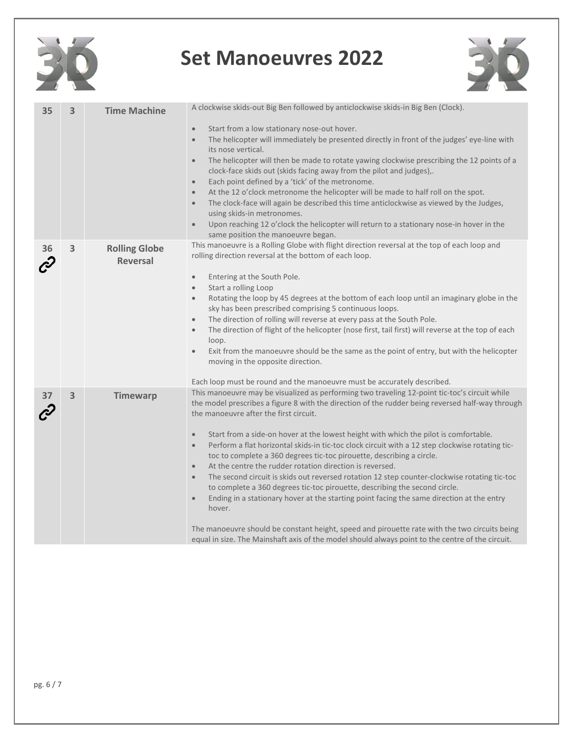

| 35 | $\overline{\mathbf{3}}$ | <b>Time Machine</b>                     | A clockwise skids-out Big Ben followed by anticlockwise skids-in Big Ben (Clock).<br>Start from a low stationary nose-out hover.<br>$\bullet$<br>The helicopter will immediately be presented directly in front of the judges' eye-line with<br>$\bullet$<br>its nose vertical.<br>The helicopter will then be made to rotate yawing clockwise prescribing the 12 points of a<br>$\bullet$<br>clock-face skids out (skids facing away from the pilot and judges),.<br>Each point defined by a 'tick' of the metronome.<br>$\bullet$<br>At the 12 o'clock metronome the helicopter will be made to half roll on the spot.<br>$\bullet$<br>The clock-face will again be described this time anticlockwise as viewed by the Judges,<br>$\bullet$<br>using skids-in metronomes.<br>Upon reaching 12 o'clock the helicopter will return to a stationary nose-in hover in the<br>$\bullet$<br>same position the manoeuvre began.                                                                                                                                                                                                             |
|----|-------------------------|-----------------------------------------|----------------------------------------------------------------------------------------------------------------------------------------------------------------------------------------------------------------------------------------------------------------------------------------------------------------------------------------------------------------------------------------------------------------------------------------------------------------------------------------------------------------------------------------------------------------------------------------------------------------------------------------------------------------------------------------------------------------------------------------------------------------------------------------------------------------------------------------------------------------------------------------------------------------------------------------------------------------------------------------------------------------------------------------------------------------------------------------------------------------------------------------|
| 36 | 3                       | <b>Rolling Globe</b><br><b>Reversal</b> | This manoeuvre is a Rolling Globe with flight direction reversal at the top of each loop and<br>rolling direction reversal at the bottom of each loop.<br>Entering at the South Pole.<br>$\bullet$<br>Start a rolling Loop<br>$\bullet$<br>Rotating the loop by 45 degrees at the bottom of each loop until an imaginary globe in the<br>$\bullet$<br>sky has been prescribed comprising 5 continuous loops.<br>The direction of rolling will reverse at every pass at the South Pole.<br>$\bullet$<br>The direction of flight of the helicopter (nose first, tail first) will reverse at the top of each<br>$\bullet$<br>loop.<br>Exit from the manoeuvre should be the same as the point of entry, but with the helicopter<br>$\bullet$<br>moving in the opposite direction.<br>Each loop must be round and the manoeuvre must be accurately described.                                                                                                                                                                                                                                                                              |
|    | 3                       | <b>Timewarp</b>                         | This manoeuvre may be visualized as performing two traveling 12-point tic-toc's circuit while<br>the model prescribes a figure 8 with the direction of the rudder being reversed half-way through<br>the manoeuvre after the first circuit.<br>Start from a side-on hover at the lowest height with which the pilot is comfortable.<br>$\bullet$<br>Perform a flat horizontal skids-in tic-toc clock circuit with a 12 step clockwise rotating tic-<br>$\bullet$<br>toc to complete a 360 degrees tic-toc pirouette, describing a circle.<br>At the centre the rudder rotation direction is reversed.<br>$\bullet$<br>The second circuit is skids out reversed rotation 12 step counter-clockwise rotating tic-toc<br>$\bullet$<br>to complete a 360 degrees tic-toc pirouette, describing the second circle.<br>Ending in a stationary hover at the starting point facing the same direction at the entry<br>$\bullet$<br>hover.<br>The manoeuvre should be constant height, speed and pirouette rate with the two circuits being<br>equal in size. The Mainshaft axis of the model should always point to the centre of the circuit. |

30